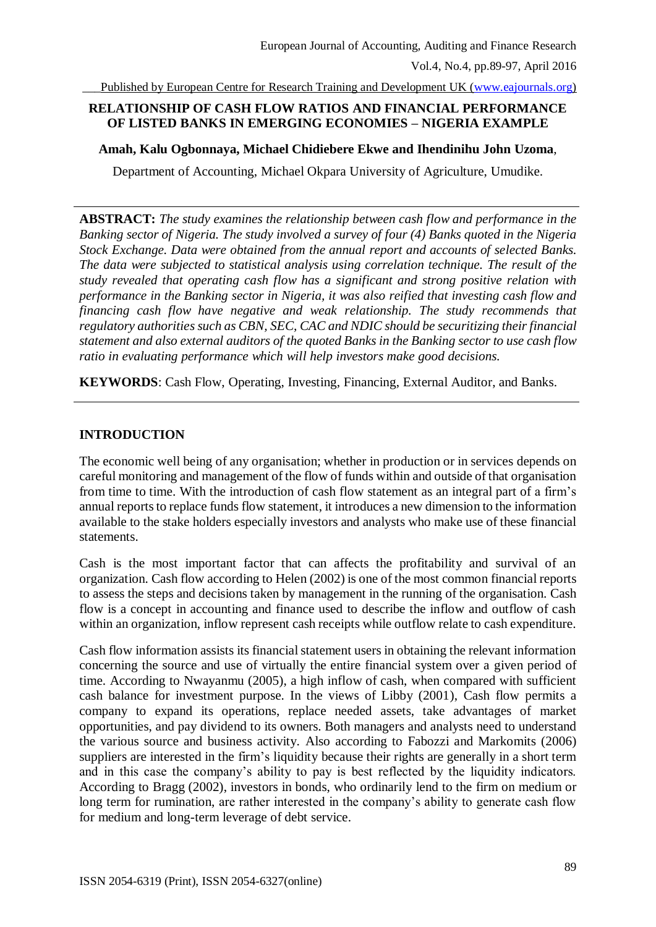\_\_\_Published by European Centre for Research Training and Development UK [\(www.eajournals.org\)](http://www.eajournals.org/)

### **RELATIONSHIP OF CASH FLOW RATIOS AND FINANCIAL PERFORMANCE OF LISTED BANKS IN EMERGING ECONOMIES – NIGERIA EXAMPLE**

**Amah, Kalu Ogbonnaya, Michael Chidiebere Ekwe and Ihendinihu John Uzoma**,

Department of Accounting, Michael Okpara University of Agriculture, Umudike.

**ABSTRACT:** *The study examines the relationship between cash flow and performance in the Banking sector of Nigeria. The study involved a survey of four (4) Banks quoted in the Nigeria Stock Exchange. Data were obtained from the annual report and accounts of selected Banks. The data were subjected to statistical analysis using correlation technique. The result of the study revealed that operating cash flow has a significant and strong positive relation with performance in the Banking sector in Nigeria, it was also reified that investing cash flow and financing cash flow have negative and weak relationship. The study recommends that regulatory authorities such as CBN, SEC, CAC and NDIC should be securitizing their financial statement and also external auditors of the quoted Banks in the Banking sector to use cash flow ratio in evaluating performance which will help investors make good decisions.*

**KEYWORDS**: Cash Flow, Operating, Investing, Financing, External Auditor, and Banks.

#### **INTRODUCTION**

The economic well being of any organisation; whether in production or in services depends on careful monitoring and management of the flow of funds within and outside of that organisation from time to time. With the introduction of cash flow statement as an integral part of a firm's annual reports to replace funds flow statement, it introduces a new dimension to the information available to the stake holders especially investors and analysts who make use of these financial statements.

Cash is the most important factor that can affects the profitability and survival of an organization. Cash flow according to Helen (2002) is one of the most common financial reports to assess the steps and decisions taken by management in the running of the organisation. Cash flow is a concept in accounting and finance used to describe the inflow and outflow of cash within an organization, inflow represent cash receipts while outflow relate to cash expenditure.

Cash flow information assists its financial statement users in obtaining the relevant information concerning the source and use of virtually the entire financial system over a given period of time. According to Nwayanmu (2005), a high inflow of cash, when compared with sufficient cash balance for investment purpose. In the views of Libby (2001), Cash flow permits a company to expand its operations, replace needed assets, take advantages of market opportunities, and pay dividend to its owners. Both managers and analysts need to understand the various source and business activity. Also according to Fabozzi and Markomits (2006) suppliers are interested in the firm's liquidity because their rights are generally in a short term and in this case the company's ability to pay is best reflected by the liquidity indicators. According to Bragg (2002), investors in bonds, who ordinarily lend to the firm on medium or long term for rumination, are rather interested in the company's ability to generate cash flow for medium and long-term leverage of debt service.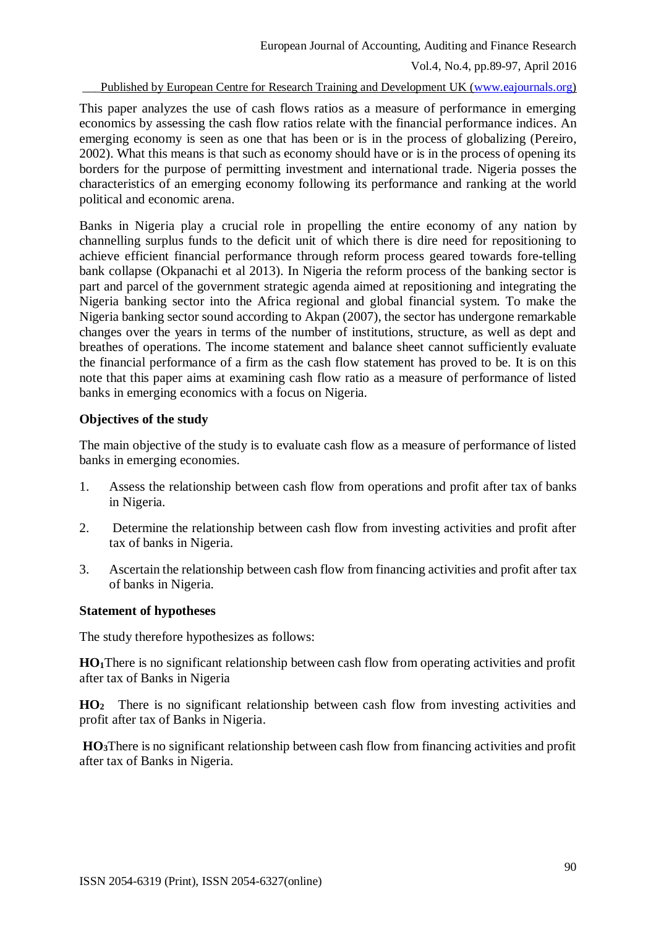Vol.4, No.4, pp.89-97, April 2016

\_\_\_Published by European Centre for Research Training and Development UK [\(www.eajournals.org\)](http://www.eajournals.org/)

This paper analyzes the use of cash flows ratios as a measure of performance in emerging economics by assessing the cash flow ratios relate with the financial performance indices. An emerging economy is seen as one that has been or is in the process of globalizing (Pereiro, 2002). What this means is that such as economy should have or is in the process of opening its borders for the purpose of permitting investment and international trade. Nigeria posses the characteristics of an emerging economy following its performance and ranking at the world political and economic arena.

Banks in Nigeria play a crucial role in propelling the entire economy of any nation by channelling surplus funds to the deficit unit of which there is dire need for repositioning to achieve efficient financial performance through reform process geared towards fore-telling bank collapse (Okpanachi et al 2013). In Nigeria the reform process of the banking sector is part and parcel of the government strategic agenda aimed at repositioning and integrating the Nigeria banking sector into the Africa regional and global financial system. To make the Nigeria banking sector sound according to Akpan (2007), the sector has undergone remarkable changes over the years in terms of the number of institutions, structure, as well as dept and breathes of operations. The income statement and balance sheet cannot sufficiently evaluate the financial performance of a firm as the cash flow statement has proved to be. It is on this note that this paper aims at examining cash flow ratio as a measure of performance of listed banks in emerging economics with a focus on Nigeria.

### **Objectives of the study**

The main objective of the study is to evaluate cash flow as a measure of performance of listed banks in emerging economies.

- 1. Assess the relationship between cash flow from operations and profit after tax of banks in Nigeria.
- 2. Determine the relationship between cash flow from investing activities and profit after tax of banks in Nigeria.
- 3. Ascertain the relationship between cash flow from financing activities and profit after tax of banks in Nigeria.

#### **Statement of hypotheses**

The study therefore hypothesizes as follows:

**HO1**There is no significant relationship between cash flow from operating activities and profit after tax of Banks in Nigeria

**HO<sup>2</sup>** There is no significant relationship between cash flow from investing activities and profit after tax of Banks in Nigeria.

**HO3**There is no significant relationship between cash flow from financing activities and profit after tax of Banks in Nigeria.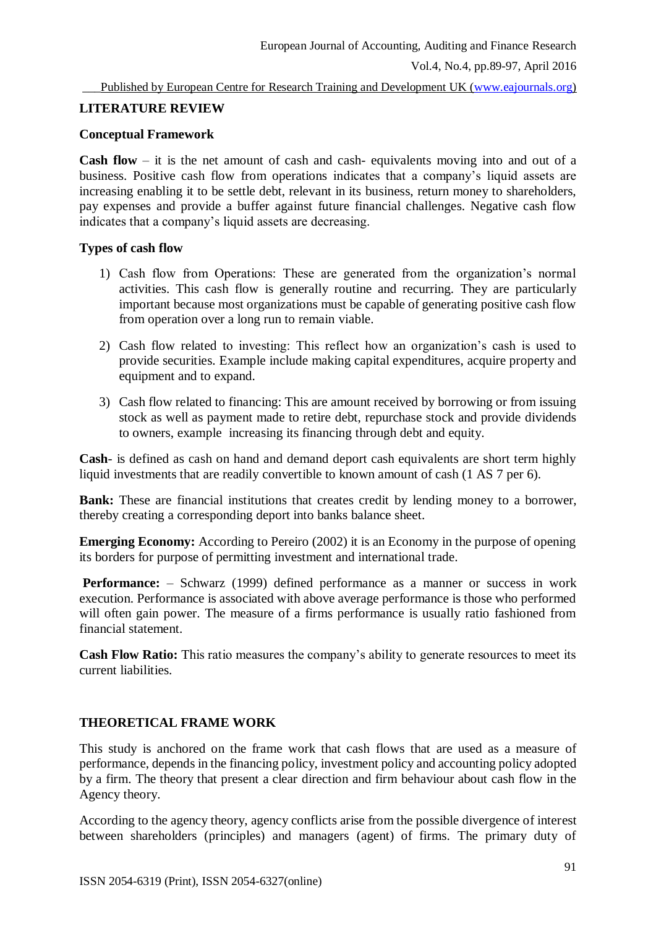## **LITERATURE REVIEW**

## **Conceptual Framework**

**Cash flow** – it is the net amount of cash and cash- equivalents moving into and out of a business. Positive cash flow from operations indicates that a company's liquid assets are increasing enabling it to be settle debt, relevant in its business, return money to shareholders, pay expenses and provide a buffer against future financial challenges. Negative cash flow indicates that a company's liquid assets are decreasing.

## **Types of cash flow**

- 1) Cash flow from Operations: These are generated from the organization's normal activities. This cash flow is generally routine and recurring. They are particularly important because most organizations must be capable of generating positive cash flow from operation over a long run to remain viable.
- 2) Cash flow related to investing: This reflect how an organization's cash is used to provide securities. Example include making capital expenditures, acquire property and equipment and to expand.
- 3) Cash flow related to financing: This are amount received by borrowing or from issuing stock as well as payment made to retire debt, repurchase stock and provide dividends to owners, example increasing its financing through debt and equity.

**Cash**- is defined as cash on hand and demand deport cash equivalents are short term highly liquid investments that are readily convertible to known amount of cash (1 AS 7 per 6).

**Bank:** These are financial institutions that creates credit by lending money to a borrower, thereby creating a corresponding deport into banks balance sheet.

**Emerging Economy:** According to Pereiro (2002) it is an Economy in the purpose of opening its borders for purpose of permitting investment and international trade.

**Performance:** – Schwarz (1999) defined performance as a manner or success in work execution. Performance is associated with above average performance is those who performed will often gain power. The measure of a firms performance is usually ratio fashioned from financial statement.

**Cash Flow Ratio:** This ratio measures the company's ability to generate resources to meet its current liabilities.

## **THEORETICAL FRAME WORK**

This study is anchored on the frame work that cash flows that are used as a measure of performance, depends in the financing policy, investment policy and accounting policy adopted by a firm. The theory that present a clear direction and firm behaviour about cash flow in the Agency theory.

According to the agency theory, agency conflicts arise from the possible divergence of interest between shareholders (principles) and managers (agent) of firms. The primary duty of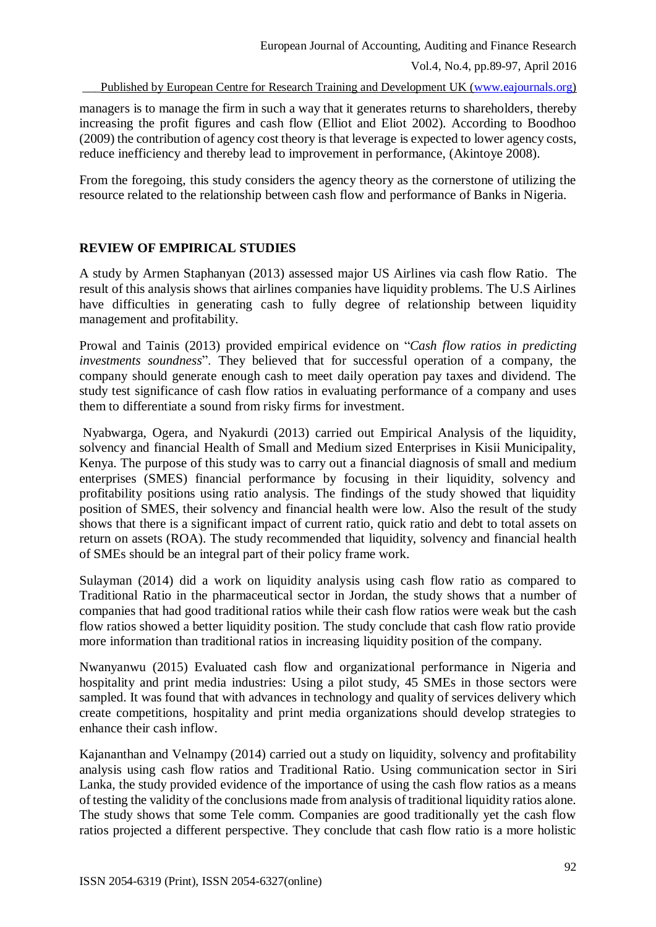Published by European Centre for Research Training and Development UK [\(www.eajournals.org\)](http://www.eajournals.org/)

managers is to manage the firm in such a way that it generates returns to shareholders, thereby increasing the profit figures and cash flow (Elliot and Eliot 2002). According to Boodhoo (2009) the contribution of agency cost theory is that leverage is expected to lower agency costs, reduce inefficiency and thereby lead to improvement in performance, (Akintoye 2008).

From the foregoing, this study considers the agency theory as the cornerstone of utilizing the resource related to the relationship between cash flow and performance of Banks in Nigeria.

## **REVIEW OF EMPIRICAL STUDIES**

A study by Armen Staphanyan (2013) assessed major US Airlines via cash flow Ratio. The result of this analysis shows that airlines companies have liquidity problems. The U.S Airlines have difficulties in generating cash to fully degree of relationship between liquidity management and profitability.

Prowal and Tainis (2013) provided empirical evidence on "*Cash flow ratios in predicting investments soundness*". They believed that for successful operation of a company, the company should generate enough cash to meet daily operation pay taxes and dividend. The study test significance of cash flow ratios in evaluating performance of a company and uses them to differentiate a sound from risky firms for investment.

Nyabwarga, Ogera, and Nyakurdi (2013) carried out Empirical Analysis of the liquidity, solvency and financial Health of Small and Medium sized Enterprises in Kisii Municipality, Kenya. The purpose of this study was to carry out a financial diagnosis of small and medium enterprises (SMES) financial performance by focusing in their liquidity, solvency and profitability positions using ratio analysis. The findings of the study showed that liquidity position of SMES, their solvency and financial health were low. Also the result of the study shows that there is a significant impact of current ratio, quick ratio and debt to total assets on return on assets (ROA). The study recommended that liquidity, solvency and financial health of SMEs should be an integral part of their policy frame work.

Sulayman (2014) did a work on liquidity analysis using cash flow ratio as compared to Traditional Ratio in the pharmaceutical sector in Jordan, the study shows that a number of companies that had good traditional ratios while their cash flow ratios were weak but the cash flow ratios showed a better liquidity position. The study conclude that cash flow ratio provide more information than traditional ratios in increasing liquidity position of the company.

Nwanyanwu (2015) Evaluated cash flow and organizational performance in Nigeria and hospitality and print media industries: Using a pilot study, 45 SMEs in those sectors were sampled. It was found that with advances in technology and quality of services delivery which create competitions, hospitality and print media organizations should develop strategies to enhance their cash inflow.

Kajananthan and Velnampy (2014) carried out a study on liquidity, solvency and profitability analysis using cash flow ratios and Traditional Ratio. Using communication sector in Siri Lanka, the study provided evidence of the importance of using the cash flow ratios as a means of testing the validity of the conclusions made from analysis of traditional liquidity ratios alone. The study shows that some Tele comm. Companies are good traditionally yet the cash flow ratios projected a different perspective. They conclude that cash flow ratio is a more holistic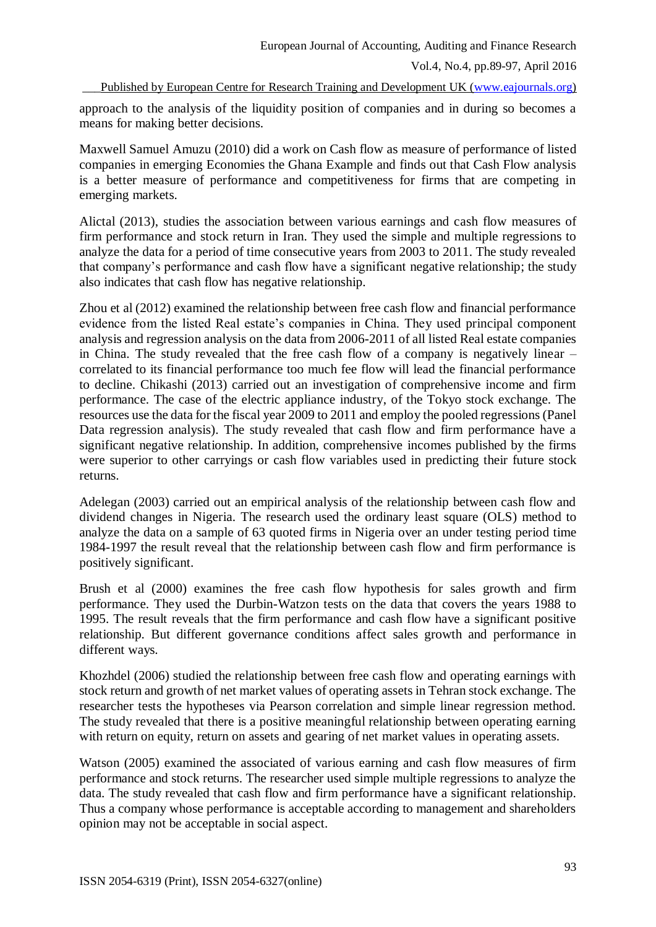European Journal of Accounting, Auditing and Finance Research

Vol.4, No.4, pp.89-97, April 2016

Published by European Centre for Research Training and Development UK [\(www.eajournals.org\)](http://www.eajournals.org/)

approach to the analysis of the liquidity position of companies and in during so becomes a means for making better decisions.

Maxwell Samuel Amuzu (2010) did a work on Cash flow as measure of performance of listed companies in emerging Economies the Ghana Example and finds out that Cash Flow analysis is a better measure of performance and competitiveness for firms that are competing in emerging markets.

Alictal (2013), studies the association between various earnings and cash flow measures of firm performance and stock return in Iran. They used the simple and multiple regressions to analyze the data for a period of time consecutive years from 2003 to 2011. The study revealed that company's performance and cash flow have a significant negative relationship; the study also indicates that cash flow has negative relationship.

Zhou et al (2012) examined the relationship between free cash flow and financial performance evidence from the listed Real estate's companies in China. They used principal component analysis and regression analysis on the data from 2006-2011 of all listed Real estate companies in China. The study revealed that the free cash flow of a company is negatively linear – correlated to its financial performance too much fee flow will lead the financial performance to decline. Chikashi (2013) carried out an investigation of comprehensive income and firm performance. The case of the electric appliance industry, of the Tokyo stock exchange. The resources use the data for the fiscal year 2009 to 2011 and employ the pooled regressions (Panel Data regression analysis). The study revealed that cash flow and firm performance have a significant negative relationship. In addition, comprehensive incomes published by the firms were superior to other carryings or cash flow variables used in predicting their future stock returns.

Adelegan (2003) carried out an empirical analysis of the relationship between cash flow and dividend changes in Nigeria. The research used the ordinary least square (OLS) method to analyze the data on a sample of 63 quoted firms in Nigeria over an under testing period time 1984-1997 the result reveal that the relationship between cash flow and firm performance is positively significant.

Brush et al (2000) examines the free cash flow hypothesis for sales growth and firm performance. They used the Durbin-Watzon tests on the data that covers the years 1988 to 1995. The result reveals that the firm performance and cash flow have a significant positive relationship. But different governance conditions affect sales growth and performance in different ways.

Khozhdel (2006) studied the relationship between free cash flow and operating earnings with stock return and growth of net market values of operating assets in Tehran stock exchange. The researcher tests the hypotheses via Pearson correlation and simple linear regression method. The study revealed that there is a positive meaningful relationship between operating earning with return on equity, return on assets and gearing of net market values in operating assets.

Watson (2005) examined the associated of various earning and cash flow measures of firm performance and stock returns. The researcher used simple multiple regressions to analyze the data. The study revealed that cash flow and firm performance have a significant relationship. Thus a company whose performance is acceptable according to management and shareholders opinion may not be acceptable in social aspect.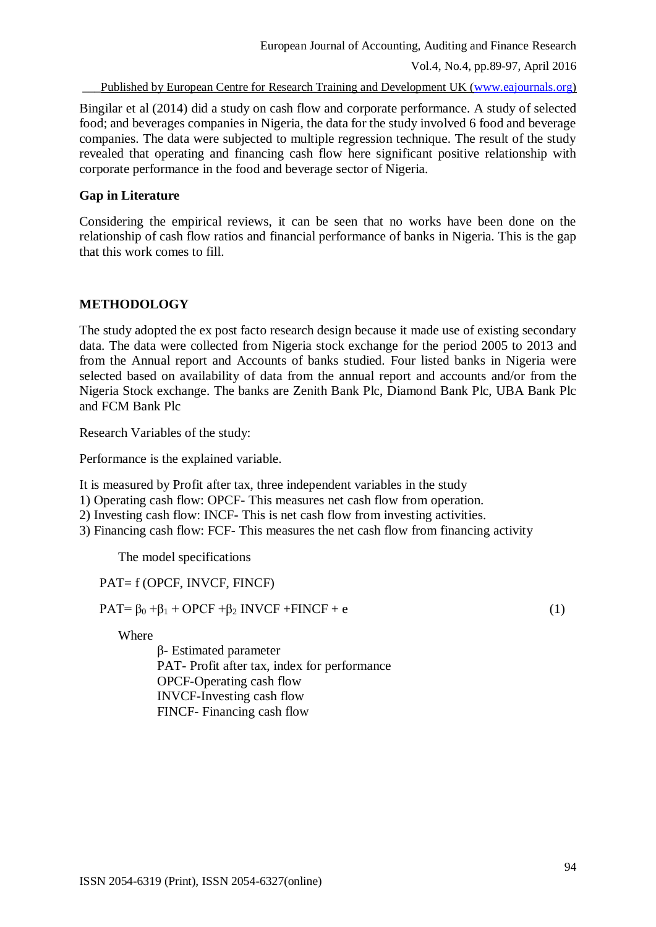Vol.4, No.4, pp.89-97, April 2016

\_\_\_Published by European Centre for Research Training and Development UK [\(www.eajournals.org\)](http://www.eajournals.org/)

Bingilar et al (2014) did a study on cash flow and corporate performance. A study of selected food; and beverages companies in Nigeria, the data for the study involved 6 food and beverage companies. The data were subjected to multiple regression technique. The result of the study revealed that operating and financing cash flow here significant positive relationship with corporate performance in the food and beverage sector of Nigeria.

#### **Gap in Literature**

Considering the empirical reviews, it can be seen that no works have been done on the relationship of cash flow ratios and financial performance of banks in Nigeria. This is the gap that this work comes to fill.

### **METHODOLOGY**

The study adopted the ex post facto research design because it made use of existing secondary data. The data were collected from Nigeria stock exchange for the period 2005 to 2013 and from the Annual report and Accounts of banks studied. Four listed banks in Nigeria were selected based on availability of data from the annual report and accounts and/or from the Nigeria Stock exchange. The banks are Zenith Bank Plc, Diamond Bank Plc, UBA Bank Plc and FCM Bank Plc

Research Variables of the study:

Performance is the explained variable.

It is measured by Profit after tax, three independent variables in the study

- 1) Operating cash flow: OPCF- This measures net cash flow from operation.
- 2) Investing cash flow: INCF- This is net cash flow from investing activities.
- 3) Financing cash flow: FCF- This measures the net cash flow from financing activity

The model specifications

PAT= f (OPCF, INVCF, FINCF)

 $PAT = \beta_0 + \beta_1 + \text{OPCF} + \beta_2 \text{INVCF} + \text{FINCF} + e$  (1)

Where

β- Estimated parameter PAT- Profit after tax, index for performance OPCF-Operating cash flow INVCF-Investing cash flow FINCF- Financing cash flow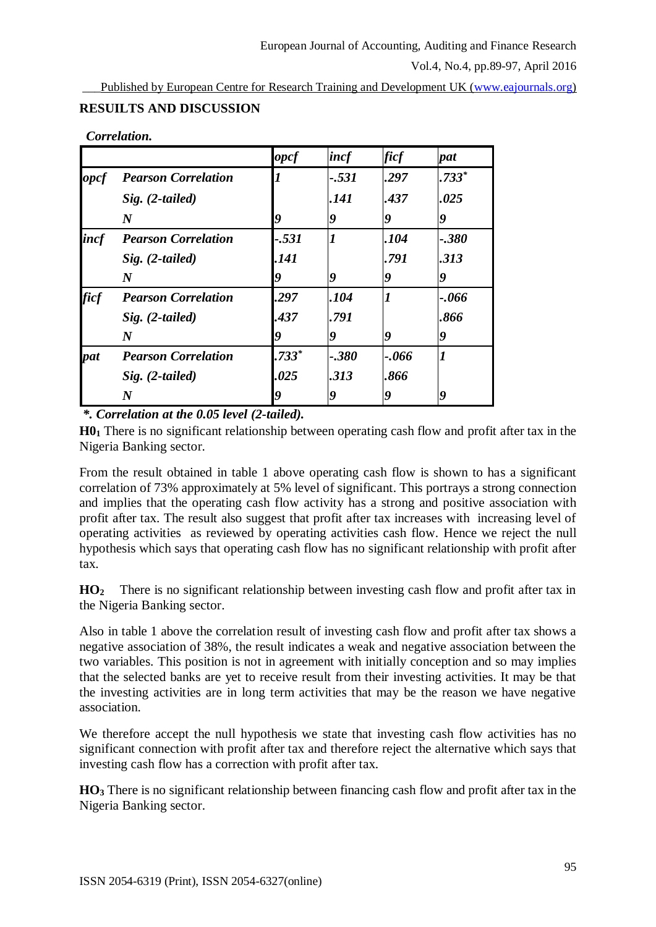Vol.4, No.4, pp.89-97, April 2016

Published by European Centre for Research Training and Development UK [\(www.eajournals.org\)](http://www.eajournals.org/)

# **RESUILTS AND DISCUSSION**

|             |                            | opcf    | incf             | <i>ficf</i>      | pat              |
|-------------|----------------------------|---------|------------------|------------------|------------------|
| opcf        | <b>Pearson Correlation</b> |         | $-.531$          | .297             | $.733*$          |
|             | $Sig. (2-tailed)$          |         | .141             | .437             | .025             |
|             | $\boldsymbol{N}$           | Q       | 9                | 9                | 9                |
| incf        | <b>Pearson Correlation</b> | $-.531$ |                  | .104             | $-.380$          |
|             | $Sig. (2-tailed)$          | .141    |                  | .791             | .313             |
|             | $\boldsymbol{N}$           | 9       | $\boldsymbol{q}$ | 9                | 9                |
| <i>ficf</i> | <b>Pearson Correlation</b> | .297    | .104             | $\boldsymbol{l}$ | $-0.066$         |
|             | $Sig. (2-tailed)$          | .437    | .791             |                  | .866             |
|             | $\boldsymbol{N}$           |         | Q                | Q                | 9                |
| pat         | <b>Pearson Correlation</b> | $.733*$ | $-.380$          | $-0.066$         | $\boldsymbol{l}$ |
|             | $Sig. (2-tailed)$          | .025    | .313             | .866             |                  |
|             | $\bm{N}$                   | 9       | 9                | 9                | 9                |

*\*. Correlation at the 0.05 level (2-tailed).*

**H0<sup>1</sup>** There is no significant relationship between operating cash flow and profit after tax in the Nigeria Banking sector.

From the result obtained in table 1 above operating cash flow is shown to has a significant correlation of 73% approximately at 5% level of significant. This portrays a strong connection and implies that the operating cash flow activity has a strong and positive association with profit after tax. The result also suggest that profit after tax increases with increasing level of operating activities as reviewed by operating activities cash flow. Hence we reject the null hypothesis which says that operating cash flow has no significant relationship with profit after tax.

**HO2** There is no significant relationship between investing cash flow and profit after tax in the Nigeria Banking sector.

Also in table 1 above the correlation result of investing cash flow and profit after tax shows a negative association of 38%, the result indicates a weak and negative association between the two variables. This position is not in agreement with initially conception and so may implies that the selected banks are yet to receive result from their investing activities. It may be that the investing activities are in long term activities that may be the reason we have negative association.

We therefore accept the null hypothesis we state that investing cash flow activities has no significant connection with profit after tax and therefore reject the alternative which says that investing cash flow has a correction with profit after tax.

**HO<sup>3</sup>** There is no significant relationship between financing cash flow and profit after tax in the Nigeria Banking sector.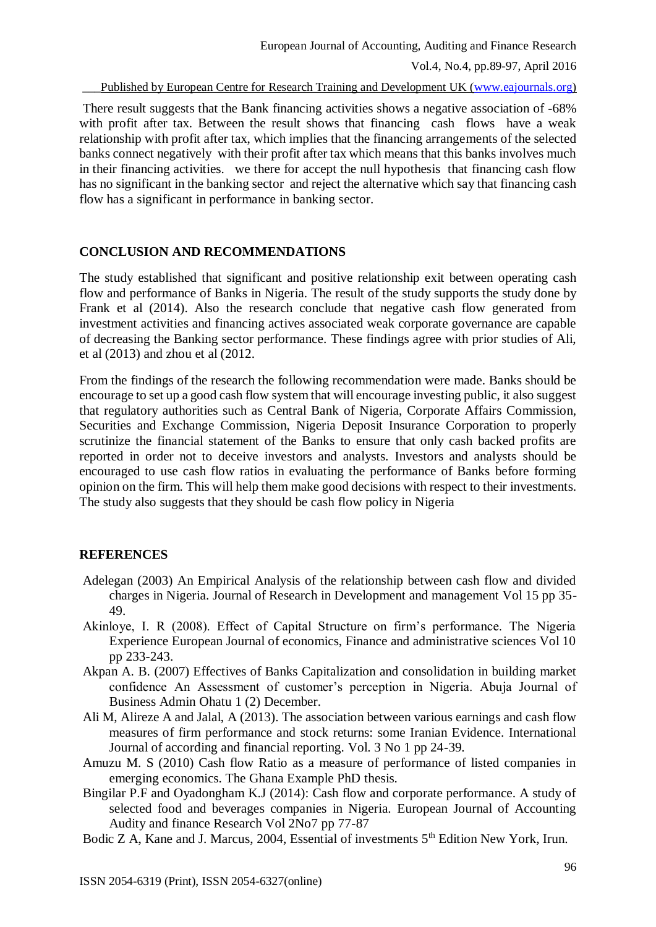Published by European Centre for Research Training and Development UK [\(www.eajournals.org\)](http://www.eajournals.org/)

There result suggests that the Bank financing activities shows a negative association of -68% with profit after tax. Between the result shows that financing cash flows have a weak relationship with profit after tax, which implies that the financing arrangements of the selected banks connect negatively with their profit after tax which means that this banks involves much in their financing activities. we there for accept the null hypothesis that financing cash flow has no significant in the banking sector and reject the alternative which say that financing cash flow has a significant in performance in banking sector.

#### **CONCLUSION AND RECOMMENDATIONS**

The study established that significant and positive relationship exit between operating cash flow and performance of Banks in Nigeria. The result of the study supports the study done by Frank et al (2014). Also the research conclude that negative cash flow generated from investment activities and financing actives associated weak corporate governance are capable of decreasing the Banking sector performance. These findings agree with prior studies of Ali, et al (2013) and zhou et al (2012.

From the findings of the research the following recommendation were made. Banks should be encourage to set up a good cash flow system that will encourage investing public, it also suggest that regulatory authorities such as Central Bank of Nigeria, Corporate Affairs Commission, Securities and Exchange Commission, Nigeria Deposit Insurance Corporation to properly scrutinize the financial statement of the Banks to ensure that only cash backed profits are reported in order not to deceive investors and analysts. Investors and analysts should be encouraged to use cash flow ratios in evaluating the performance of Banks before forming opinion on the firm. This will help them make good decisions with respect to their investments. The study also suggests that they should be cash flow policy in Nigeria

#### **REFERENCES**

- Adelegan (2003) An Empirical Analysis of the relationship between cash flow and divided charges in Nigeria. Journal of Research in Development and management Vol 15 pp 35- 49.
- Akinloye, I. R (2008). Effect of Capital Structure on firm's performance. The Nigeria Experience European Journal of economics, Finance and administrative sciences Vol 10 pp 233-243.
- Akpan A. B. (2007) Effectives of Banks Capitalization and consolidation in building market confidence An Assessment of customer's perception in Nigeria. Abuja Journal of Business Admin Ohatu 1 (2) December.
- Ali M, Alireze A and Jalal, A (2013). The association between various earnings and cash flow measures of firm performance and stock returns: some Iranian Evidence. International Journal of according and financial reporting. Vol. 3 No 1 pp 24-39.
- Amuzu M. S (2010) Cash flow Ratio as a measure of performance of listed companies in emerging economics. The Ghana Example PhD thesis.
- Bingilar P.F and Oyadongham K.J (2014): Cash flow and corporate performance. A study of selected food and beverages companies in Nigeria. European Journal of Accounting Audity and finance Research Vol 2No7 pp 77-87
- Bodic Z A, Kane and J. Marcus, 2004, Essential of investments 5<sup>th</sup> Edition New York, Irun.